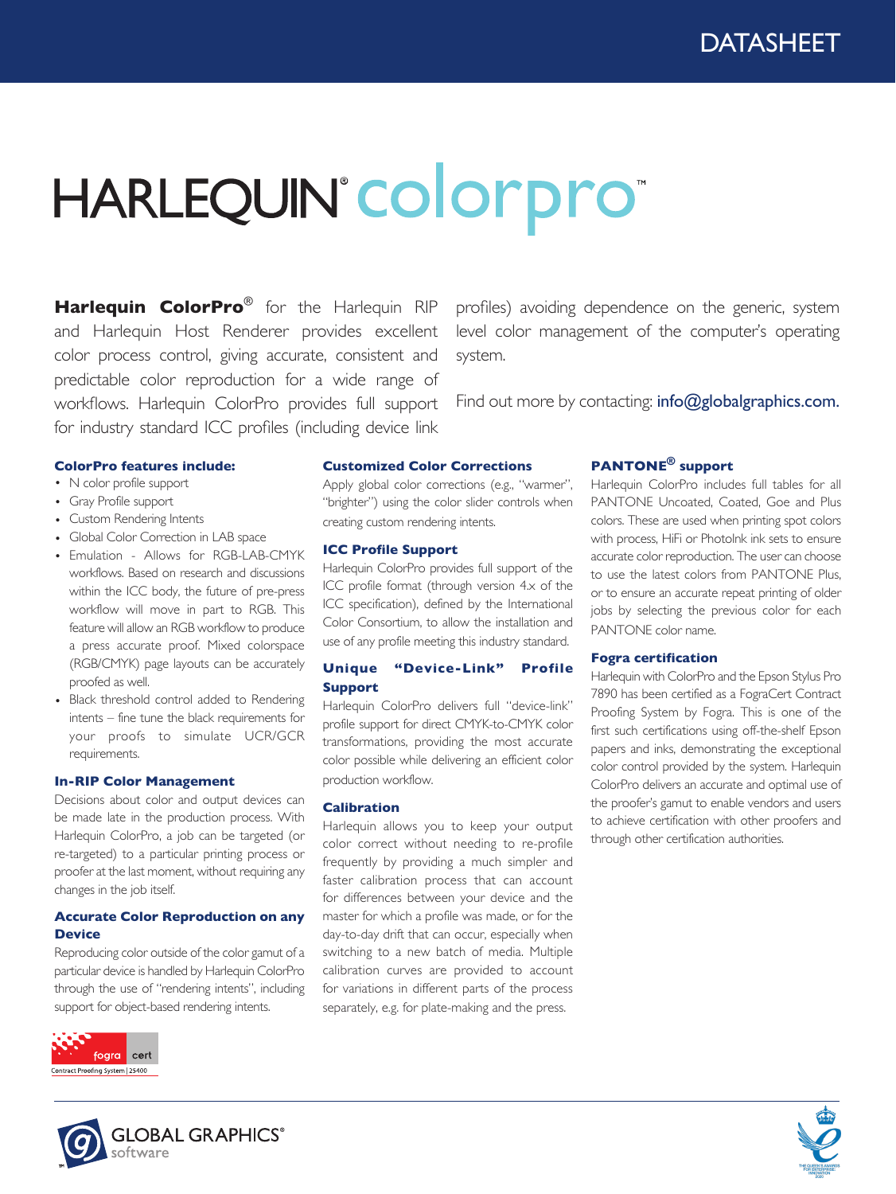# HARLEQUIN°COlorpro®

**Harlequin ColorPro**® for the Harlequin RIP and Harlequin Host Renderer provides excellent color process control, giving accurate, consistent and predictable color reproduction for a wide range of workflows. Harlequin ColorPro provides full support for industry standard ICC profiles (including device link

profiles) avoiding dependence on the generic, system level color management of the computer's operating system.

Find out more by contacting: info@globalgraphics.com.

#### **ColorPro features include:**

- N color profile support
- Gray Profile support
- Custom Rendering Intents
- Global Color Correction in LAB space
- Emulation Allows for RGB-LAB-CMYK workflows. Based on research and discussions within the ICC body, the future of pre-press workflow will move in part to RGB. This feature will allow an RGB workflow to produce a press accurate proof. Mixed colorspace (RGB/CMYK) page layouts can be accurately proofed as well.
- Black threshold control added to Rendering intents – fine tune the black requirements for your proofs to simulate UCR/GCR requirements.

#### **In-RIP Color Management**

Decisions about color and output devices can be made late in the production process. With Harlequin ColorPro, a job can be targeted (or re-targeted) to a particular printing process or proofer at the last moment, without requiring any changes in the job itself.

#### **Accurate Color Reproduction on any Device**

Reproducing color outside of the color gamut of a particular device is handled by Harlequin ColorPro through the use of "rendering intents", including support for object-based rendering intents.



#### **Customized Color Corrections**

Apply global color corrections (e.g., "warmer", "brighter") using the color slider controls when creating custom rendering intents.

#### **ICC Profile Support**

Harlequin ColorPro provides full support of the ICC profile format (through version 4.x of the ICC specification), defined by the International Color Consortium, to allow the installation and use of any profile meeting this industry standard.

#### **Unique "Device-Link" Profile Support**

Harlequin ColorPro delivers full "device-link" profile support for direct CMYK-to-CMYK color transformations, providing the most accurate color possible while delivering an efficient color production workflow.

#### **Calibration**

Harlequin allows you to keep your output color correct without needing to re-profile frequently by providing a much simpler and faster calibration process that can account for differences between your device and the master for which a profile was made, or for the day-to-day drift that can occur, especially when switching to a new batch of media. Multiple calibration curves are provided to account for variations in different parts of the process separately, e.g. for plate-making and the press.

#### **PANTONE® support**

Harlequin ColorPro includes full tables for all PANTONE Uncoated, Coated, Goe and Plus colors. These are used when printing spot colors with process, HiFi or PhotoInk ink sets to ensure accurate color reproduction. The user can choose to use the latest colors from PANTONE Plus, or to ensure an accurate repeat printing of older jobs by selecting the previous color for each PANTONE color name.

#### **Fogra certification**

Harlequin with ColorPro and the Epson Stylus Pro 7890 has been certified as a FograCert Contract Proofing System by Fogra. This is one of the first such certifications using off-the-shelf Epson papers and inks, demonstrating the exceptional color control provided by the system. Harlequin ColorPro delivers an accurate and optimal use of the proofer's gamut to enable vendors and users to achieve certification with other proofers and through other certification authorities.